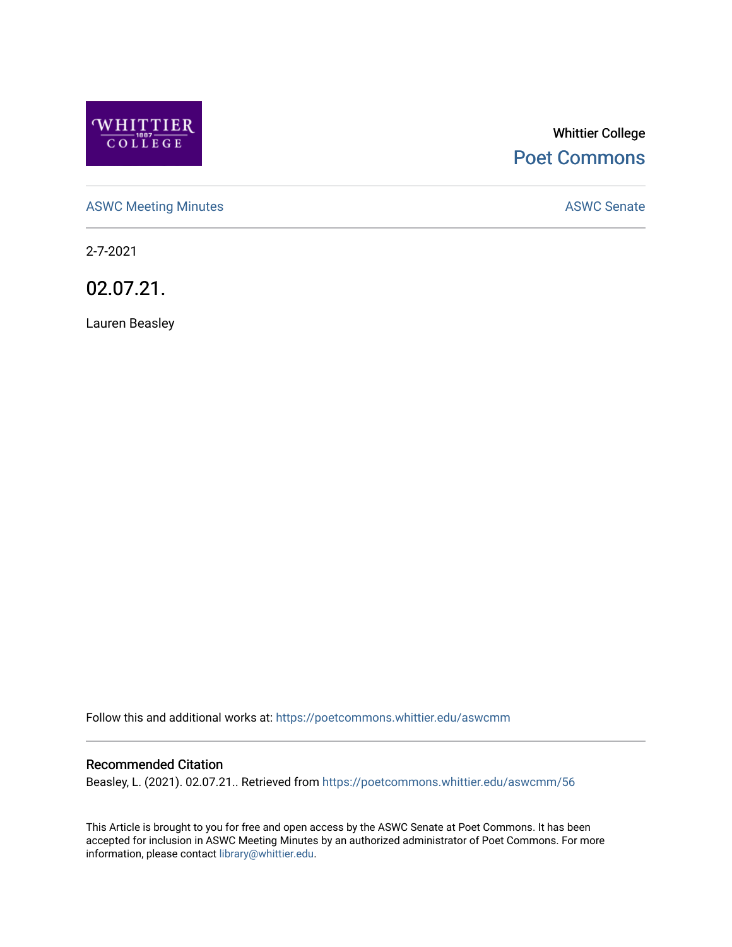

# Whittier College [Poet Commons](https://poetcommons.whittier.edu/)

[ASWC Meeting Minutes](https://poetcommons.whittier.edu/aswcmm) **ASWC Senate** 

2-7-2021

02.07.21.

Lauren Beasley

Follow this and additional works at: [https://poetcommons.whittier.edu/aswcmm](https://poetcommons.whittier.edu/aswcmm?utm_source=poetcommons.whittier.edu%2Faswcmm%2F56&utm_medium=PDF&utm_campaign=PDFCoverPages)

#### Recommended Citation

Beasley, L. (2021). 02.07.21.. Retrieved from [https://poetcommons.whittier.edu/aswcmm/56](https://poetcommons.whittier.edu/aswcmm/56?utm_source=poetcommons.whittier.edu%2Faswcmm%2F56&utm_medium=PDF&utm_campaign=PDFCoverPages)

This Article is brought to you for free and open access by the ASWC Senate at Poet Commons. It has been accepted for inclusion in ASWC Meeting Minutes by an authorized administrator of Poet Commons. For more information, please contact [library@whittier.edu.](mailto:library@whittier.edu)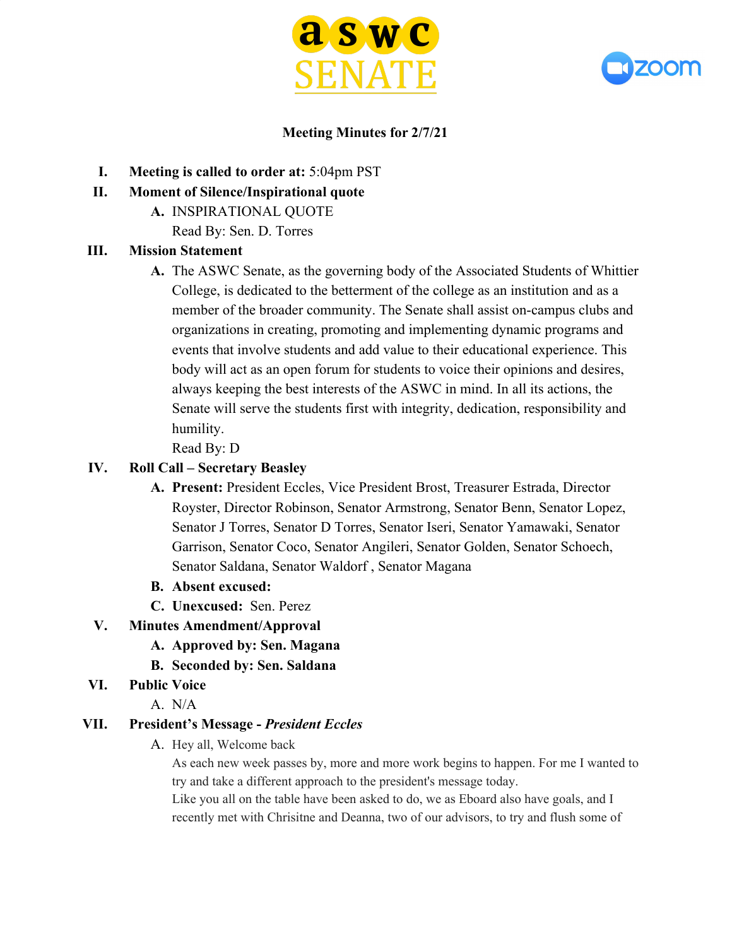



### **Meeting Minutes for 2/7/21**

- **I. Meeting is called to order at:** 5:04pm PST
- **II. Moment of Silence/Inspirational quote**
	- **A.** INSPIRATIONAL QUOTE Read By: Sen. D. Torres

### **III. Mission Statement**

**A.** The ASWC Senate, as the governing body of the Associated Students of Whittier College, is dedicated to the betterment of the college as an institution and as a member of the broader community. The Senate shall assist on-campus clubs and organizations in creating, promoting and implementing dynamic programs and events that involve students and add value to their educational experience. This body will act as an open forum for students to voice their opinions and desires, always keeping the best interests of the ASWC in mind. In all its actions, the Senate will serve the students first with integrity, dedication, responsibility and humility.

Read By: D

### **IV. Roll Call – Secretary Beasley**

- **A. Present:** President Eccles, Vice President Brost, Treasurer Estrada, Director Royster, Director Robinson, Senator Armstrong, Senator Benn, Senator Lopez, Senator J Torres, Senator D Torres, Senator Iseri, Senator Yamawaki, Senator Garrison, Senator Coco, Senator Angileri, Senator Golden, Senator Schoech, Senator Saldana, Senator Waldorf , Senator Magana
- **B. Absent excused:**
- **C. Unexcused:** Sen. Perez
- **V. Minutes Amendment/Approval**
	- **A. Approved by: Sen. Magana**
	- **B. Seconded by: Sen. Saldana**
- **VI. Public Voice**
	- A. N/A

#### **VII. President's Message -** *President Eccles*

A. Hey all, Welcome back

As each new week passes by, more and more work begins to happen. For me I wanted to try and take a different approach to the president's message today.

Like you all on the table have been asked to do, we as Eboard also have goals, and I recently met with Chrisitne and Deanna, two of our advisors, to try and flush some of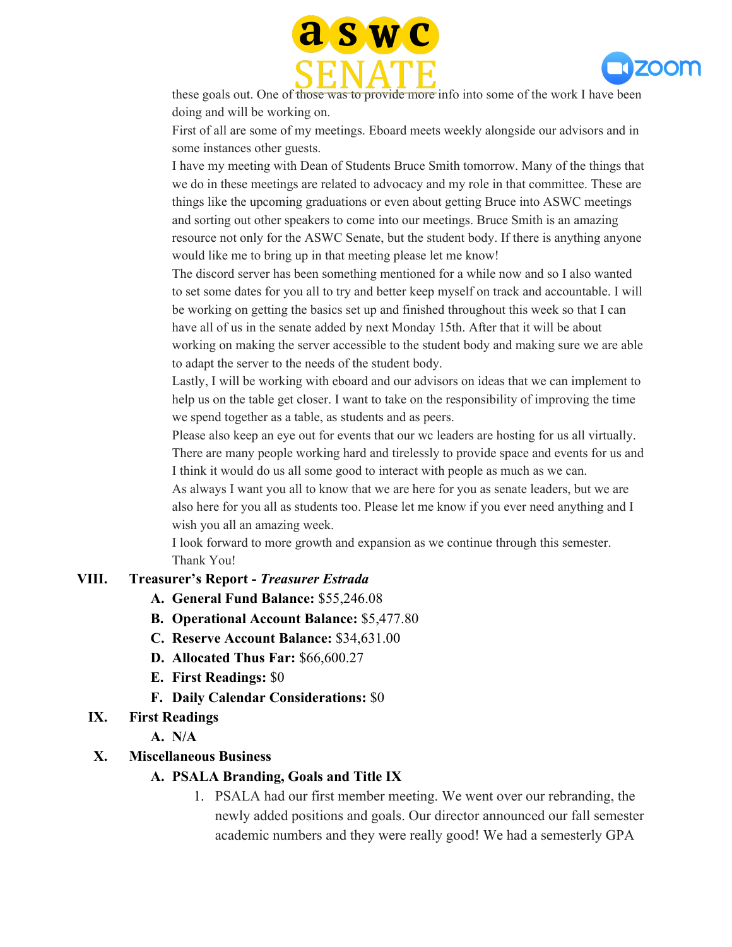



these goals out. One of those was to provide more info into some of the work I have been doing and will be working on.

First of all are some of my meetings. Eboard meets weekly alongside our advisors and in some instances other guests.

I have my meeting with Dean of Students Bruce Smith tomorrow. Many of the things that we do in these meetings are related to advocacy and my role in that committee. These are things like the upcoming graduations or even about getting Bruce into ASWC meetings and sorting out other speakers to come into our meetings. Bruce Smith is an amazing resource not only for the ASWC Senate, but the student body. If there is anything anyone would like me to bring up in that meeting please let me know!

The discord server has been something mentioned for a while now and so I also wanted to set some dates for you all to try and better keep myself on track and accountable. I will be working on getting the basics set up and finished throughout this week so that I can have all of us in the senate added by next Monday 15th. After that it will be about working on making the server accessible to the student body and making sure we are able to adapt the server to the needs of the student body.

Lastly, I will be working with eboard and our advisors on ideas that we can implement to help us on the table get closer. I want to take on the responsibility of improving the time we spend together as a table, as students and as peers.

Please also keep an eye out for events that our wc leaders are hosting for us all virtually. There are many people working hard and tirelessly to provide space and events for us and I think it would do us all some good to interact with people as much as we can.

As always I want you all to know that we are here for you as senate leaders, but we are also here for you all as students too. Please let me know if you ever need anything and I wish you all an amazing week.

I look forward to more growth and expansion as we continue through this semester. Thank You!

### **VIII. Treasurer's Report -** *Treasurer Estrada*

- **A. General Fund Balance:** \$55,246.08
- **B. Operational Account Balance:** \$5,477.80
- **C. Reserve Account Balance:** \$34,631.00
- **D. Allocated Thus Far:** \$66,600.27
- **E. First Readings:** \$0
- **F. Daily Calendar Considerations:** \$0
- **IX. First Readings**
	- **A. N/A**
- **X. Miscellaneous Business**

# **A. PSALA Branding, Goals and Title IX**

1. PSALA had our first member meeting. We went over our rebranding, the newly added positions and goals. Our director announced our fall semester academic numbers and they were really good! We had a semesterly GPA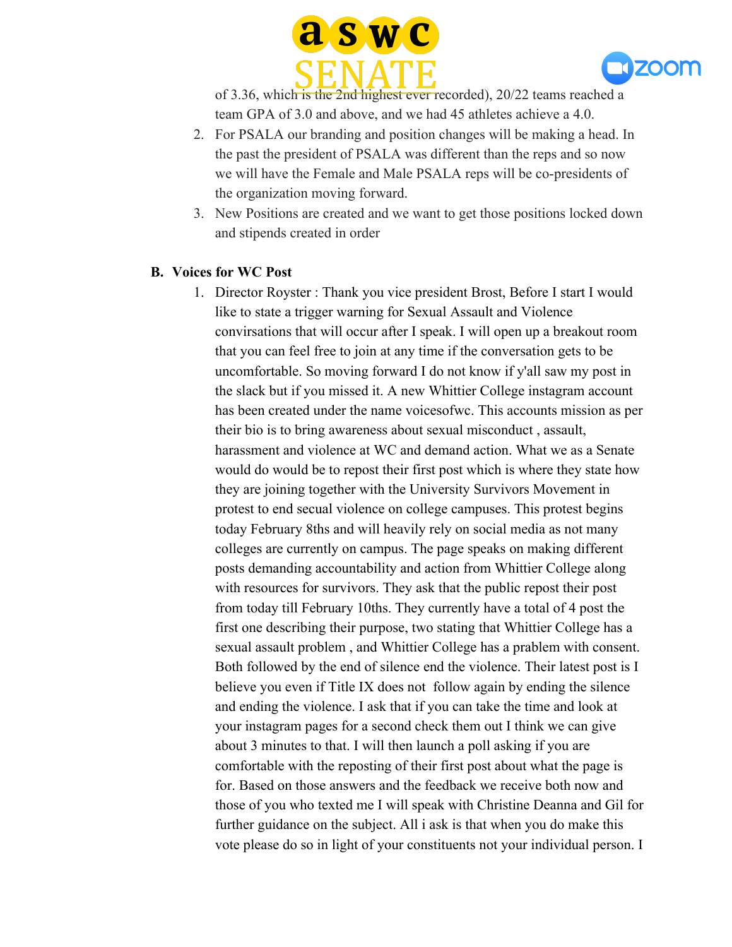



of 3.36, which is the 2nd highest ever recorded), 20/22 teams reached a team GPA of 3.0 and above, and we had 45 athletes achieve a 4.0.

- 2. For PSALA our branding and position changes will be making a head. In the past the president of PSALA was different than the reps and so now we will have the Female and Male PSALA reps will be co-presidents of the organization moving forward.
- 3. New Positions are created and we want to get those positions locked down and stipends created in order

### **B. Voices for WC Post**

1. Director Royster : Thank you vice president Brost, Before I start I would like to state a trigger warning for Sexual Assault and Violence convirsations that will occur after I speak. I will open up a breakout room that you can feel free to join at any time if the conversation gets to be uncomfortable. So moving forward I do not know if y'all saw my post in the slack but if you missed it. A new Whittier College instagram account has been created under the name voicesofwc. This accounts mission as per their bio is to bring awareness about sexual misconduct , assault, harassment and violence at WC and demand action. What we as a Senate would do would be to repost their first post which is where they state how they are joining together with the University Survivors Movement in protest to end secual violence on college campuses. This protest begins today February 8ths and will heavily rely on social media as not many colleges are currently on campus. The page speaks on making different posts demanding accountability and action from Whittier College along with resources for survivors. They ask that the public repost their post from today till February 10ths. They currently have a total of 4 post the first one describing their purpose, two stating that Whittier College has a sexual assault problem , and Whittier College has a prablem with consent. Both followed by the end of silence end the violence. Their latest post is I believe you even if Title IX does not follow again by ending the silence and ending the violence. I ask that if you can take the time and look at your instagram pages for a second check them out I think we can give about 3 minutes to that. I will then launch a poll asking if you are comfortable with the reposting of their first post about what the page is for. Based on those answers and the feedback we receive both now and those of you who texted me I will speak with Christine Deanna and Gil for further guidance on the subject. All i ask is that when you do make this vote please do so in light of your constituents not your individual person. I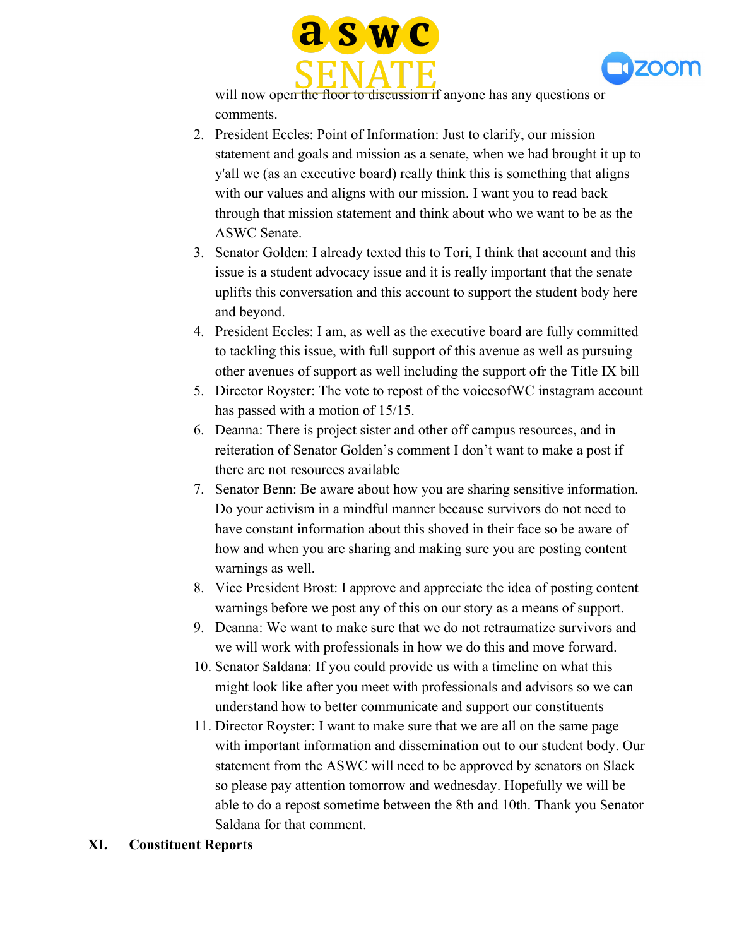



will now open the floor to discussion if anyone has any questions or comments.

- 2. President Eccles: Point of Information: Just to clarify, our mission statement and goals and mission as a senate, when we had brought it up to y'all we (as an executive board) really think this is something that aligns with our values and aligns with our mission. I want you to read back through that mission statement and think about who we want to be as the ASWC Senate.
- 3. Senator Golden: I already texted this to Tori, I think that account and this issue is a student advocacy issue and it is really important that the senate uplifts this conversation and this account to support the student body here and beyond.
- 4. President Eccles: I am, as well as the executive board are fully committed to tackling this issue, with full support of this avenue as well as pursuing other avenues of support as well including the support ofr the Title IX bill
- 5. Director Royster: The vote to repost of the voicesofWC instagram account has passed with a motion of 15/15.
- 6. Deanna: There is project sister and other off campus resources, and in reiteration of Senator Golden's comment I don't want to make a post if there are not resources available
- 7. Senator Benn: Be aware about how you are sharing sensitive information. Do your activism in a mindful manner because survivors do not need to have constant information about this shoved in their face so be aware of how and when you are sharing and making sure you are posting content warnings as well.
- 8. Vice President Brost: I approve and appreciate the idea of posting content warnings before we post any of this on our story as a means of support.
- 9. Deanna: We want to make sure that we do not retraumatize survivors and we will work with professionals in how we do this and move forward.
- 10. Senator Saldana: If you could provide us with a timeline on what this might look like after you meet with professionals and advisors so we can understand how to better communicate and support our constituents
- 11. Director Royster: I want to make sure that we are all on the same page with important information and dissemination out to our student body. Our statement from the ASWC will need to be approved by senators on Slack so please pay attention tomorrow and wednesday. Hopefully we will be able to do a repost sometime between the 8th and 10th. Thank you Senator Saldana for that comment.

### **XI. Constituent Reports**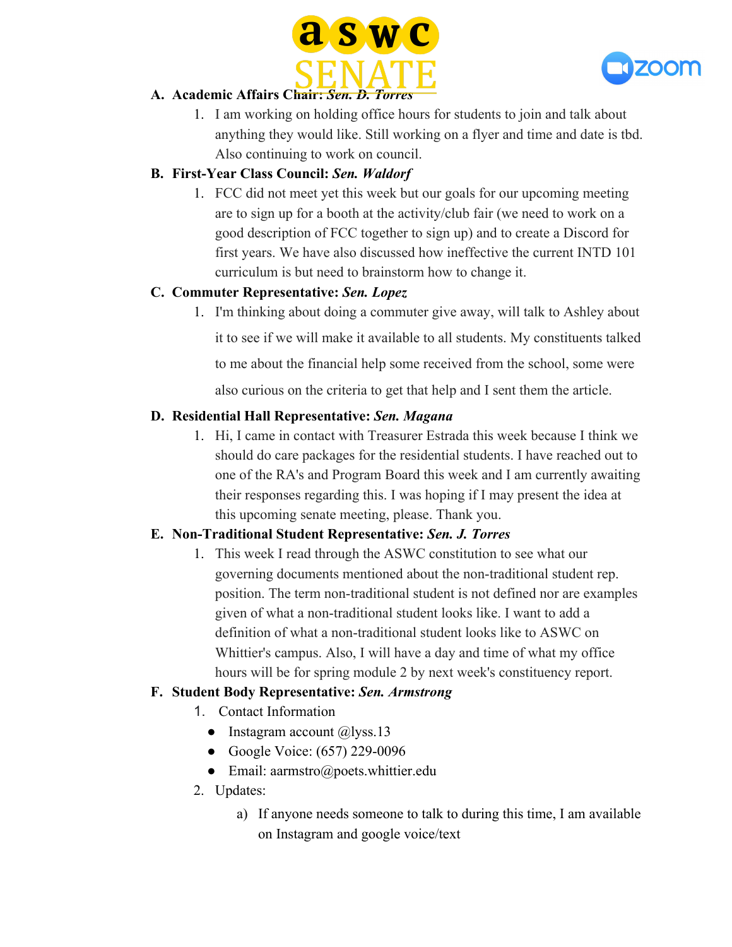



# **A. Academic Affairs Chair:** *Sen. D. Torres*

1. I am working on holding office hours for students to join and talk about anything they would like. Still working on a flyer and time and date is tbd. Also continuing to work on council.

# **B. First-Year Class Council:** *Sen. Waldorf*

1. FCC did not meet yet this week but our goals for our upcoming meeting are to sign up for a booth at the activity/club fair (we need to work on a good description of FCC together to sign up) and to create a Discord for first years. We have also discussed how ineffective the current INTD 101 curriculum is but need to brainstorm how to change it.

# **C. Commuter Representative:** *Sen. Lopez*

1. I'm thinking about doing a commuter give away, will talk to Ashley about it to see if we will make it available to all students. My constituents talked to me about the financial help some received from the school, some were also curious on the criteria to get that help and I sent them the article.

# **D. Residential Hall Representative:** *Sen. Magana*

1. Hi, I came in contact with Treasurer Estrada this week because I think we should do care packages for the residential students. I have reached out to one of the RA's and Program Board this week and I am currently awaiting their responses regarding this. I was hoping if I may present the idea at this upcoming senate meeting, please. Thank you.

# **E. Non-Traditional Student Representative:** *Sen. J. Torres*

1. This week I read through the ASWC constitution to see what our governing documents mentioned about the non-traditional student rep. position. The term non-traditional student is not defined nor are examples given of what a non-traditional student looks like. I want to add a definition of what a non-traditional student looks like to ASWC on Whittier's campus. Also, I will have a day and time of what my office hours will be for spring module 2 by next week's constituency report.

# **F. Student Body Representative:** *Sen. Armstrong*

- 1. Contact Information
	- Instagram account  $(a)$ lyss.13
	- Google Voice: (657) 229-0096
	- Email: aarmstro@poets.whittier.edu
- 2. Updates:
	- a) If anyone needs someone to talk to during this time, I am available on Instagram and google voice/text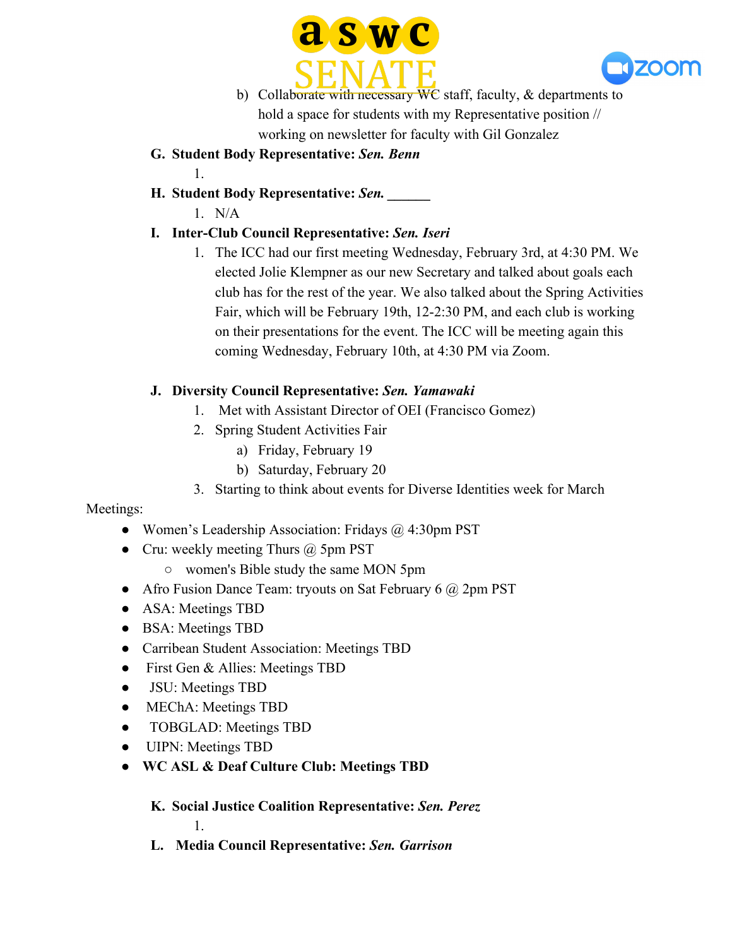



- b) Collaborate with necessary  $\overline{WC}$  staff, faculty,  $\&$  departments to hold a space for students with my Representative position // working on newsletter for faculty with Gil Gonzalez
- **G. Student Body Representative:** *Sen. Benn*
- **H. Student Body Representative:** *Sen. \_\_\_\_\_\_*
	- 1. N/A

1.

# **I. Inter-Club Council Representative:** *Sen. Iseri*

1. The ICC had our first meeting Wednesday, February 3rd, at 4:30 PM. We elected Jolie Klempner as our new Secretary and talked about goals each club has for the rest of the year. We also talked about the Spring Activities Fair, which will be February 19th, 12-2:30 PM, and each club is working on their presentations for the event. The ICC will be meeting again this coming Wednesday, February 10th, at 4:30 PM via Zoom.

### **J. Diversity Council Representative:** *Sen. Yamawaki*

- 1. Met with Assistant Director of OEI (Francisco Gomez)
- 2. Spring Student Activities Fair
	- a) Friday, February 19
	- b) Saturday, February 20
- 3. Starting to think about events for Diverse Identities week for March

### Meetings:

- Women's Leadership Association: Fridays @ 4:30pm PST
- Cru: weekly meeting Thurs  $\omega$  5pm PST
	- women's Bible study the same MON 5pm
- Afro Fusion Dance Team: tryouts on Sat February  $6 \text{ (}Q\text{ 2pm}$  PST
- ASA: Meetings TBD
- BSA: Meetings TBD
- Carribean Student Association: Meetings TBD
- First Gen & Allies: Meetings TBD
- JSU: Meetings TBD
- MEChA: Meetings TBD
- TOBGLAD: Meetings TBD
- UIPN: Meetings TBD
- **● WC ASL & Deaf Culture Club: Meetings TBD**
	- **K. Social Justice Coalition Representative:** *Sen. Perez* 1.
	- **L. Media Council Representative:** *Sen. Garrison*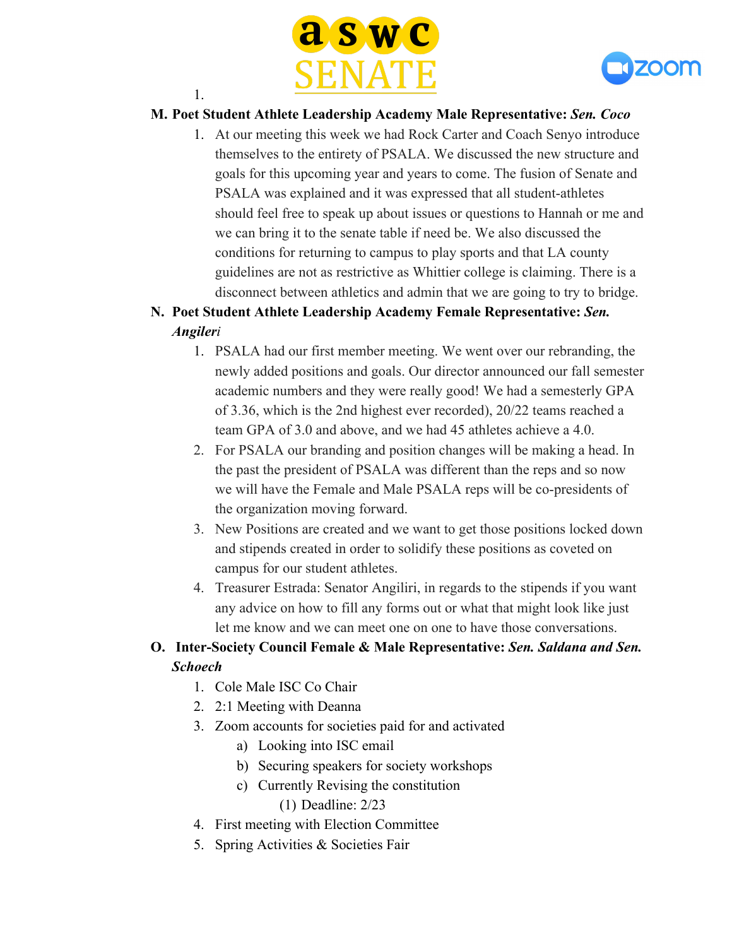

1.



### **M. Poet Student Athlete Leadership Academy Male Representative:** *Sen. Coco*

1. At our meeting this week we had Rock Carter and Coach Senyo introduce themselves to the entirety of PSALA. We discussed the new structure and goals for this upcoming year and years to come. The fusion of Senate and PSALA was explained and it was expressed that all student-athletes should feel free to speak up about issues or questions to Hannah or me and we can bring it to the senate table if need be. We also discussed the conditions for returning to campus to play sports and that LA county guidelines are not as restrictive as Whittier college is claiming. There is a disconnect between athletics and admin that we are going to try to bridge.

# **N. Poet Student Athlete Leadership Academy Female Representative:** *Sen. Angileri*

- 1. PSALA had our first member meeting. We went over our rebranding, the newly added positions and goals. Our director announced our fall semester academic numbers and they were really good! We had a semesterly GPA of 3.36, which is the 2nd highest ever recorded), 20/22 teams reached a team GPA of 3.0 and above, and we had 45 athletes achieve a 4.0.
- 2. For PSALA our branding and position changes will be making a head. In the past the president of PSALA was different than the reps and so now we will have the Female and Male PSALA reps will be co-presidents of the organization moving forward.
- 3. New Positions are created and we want to get those positions locked down and stipends created in order to solidify these positions as coveted on campus for our student athletes.
- 4. Treasurer Estrada: Senator Angiliri, in regards to the stipends if you want any advice on how to fill any forms out or what that might look like just let me know and we can meet one on one to have those conversations.

# **O. Inter-Society Council Female & Male Representative:** *Sen. Saldana and Sen. Schoech*

- 1. Cole Male ISC Co Chair
- 2. 2:1 Meeting with Deanna
- 3. Zoom accounts for societies paid for and activated
	- a) Looking into ISC email
	- b) Securing speakers for society workshops
	- c) Currently Revising the constitution
		- (1) Deadline: 2/23
- 4. First meeting with Election Committee
- 5. Spring Activities & Societies Fair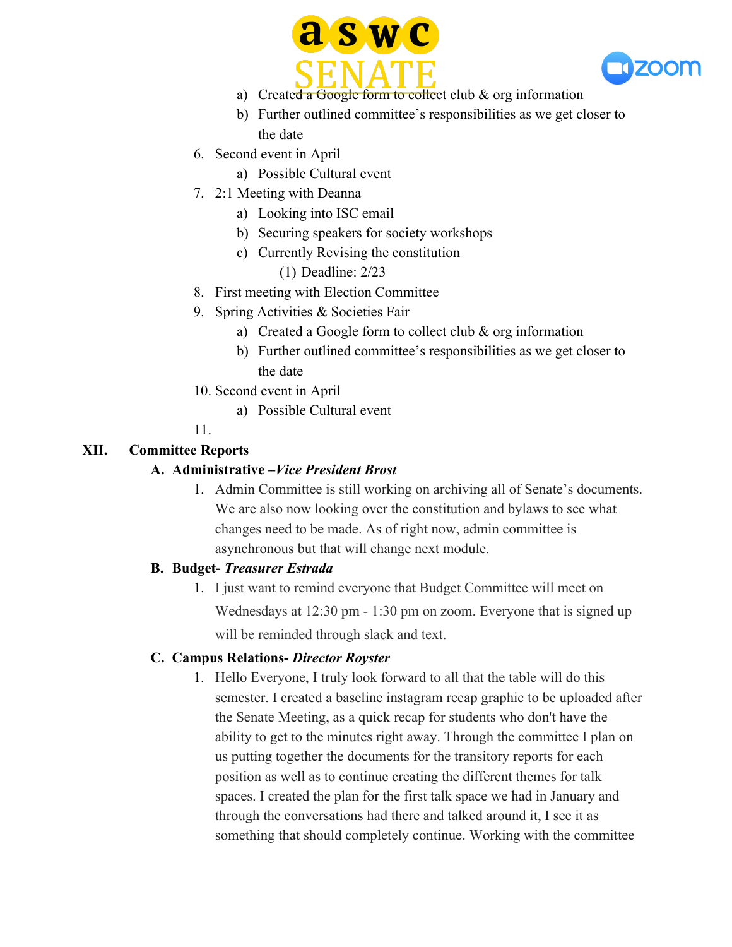



- a) Created a Google form to collect club  $\&$  org information
- b) Further outlined committee's responsibilities as we get closer to the date
- 6. Second event in April
	- a) Possible Cultural event
- 7. 2:1 Meeting with Deanna
	- a) Looking into ISC email
	- b) Securing speakers for society workshops
	- c) Currently Revising the constitution
		- (1) Deadline: 2/23
- 8. First meeting with Election Committee
- 9. Spring Activities & Societies Fair
	- a) Created a Google form to collect club & org information
	- b) Further outlined committee's responsibilities as we get closer to the date
- 10. Second event in April
	- a) Possible Cultural event
- 11.

# **XII. Committee Reports**

# **A. Administrative –***Vice President Brost*

1. Admin Committee is still working on archiving all of Senate's documents. We are also now looking over the constitution and bylaws to see what changes need to be made. As of right now, admin committee is asynchronous but that will change next module.

# **B. Budget-** *Treasurer Estrada*

1. I just want to remind everyone that Budget Committee will meet on Wednesdays at 12:30 pm - 1:30 pm on zoom. Everyone that is signed up will be reminded through slack and text.

# **C. Campus Relations-** *Director Royster*

1. Hello Everyone, I truly look forward to all that the table will do this semester. I created a baseline instagram recap graphic to be uploaded after the Senate Meeting, as a quick recap for students who don't have the ability to get to the minutes right away. Through the committee I plan on us putting together the documents for the transitory reports for each position as well as to continue creating the different themes for talk spaces. I created the plan for the first talk space we had in January and through the conversations had there and talked around it, I see it as something that should completely continue. Working with the committee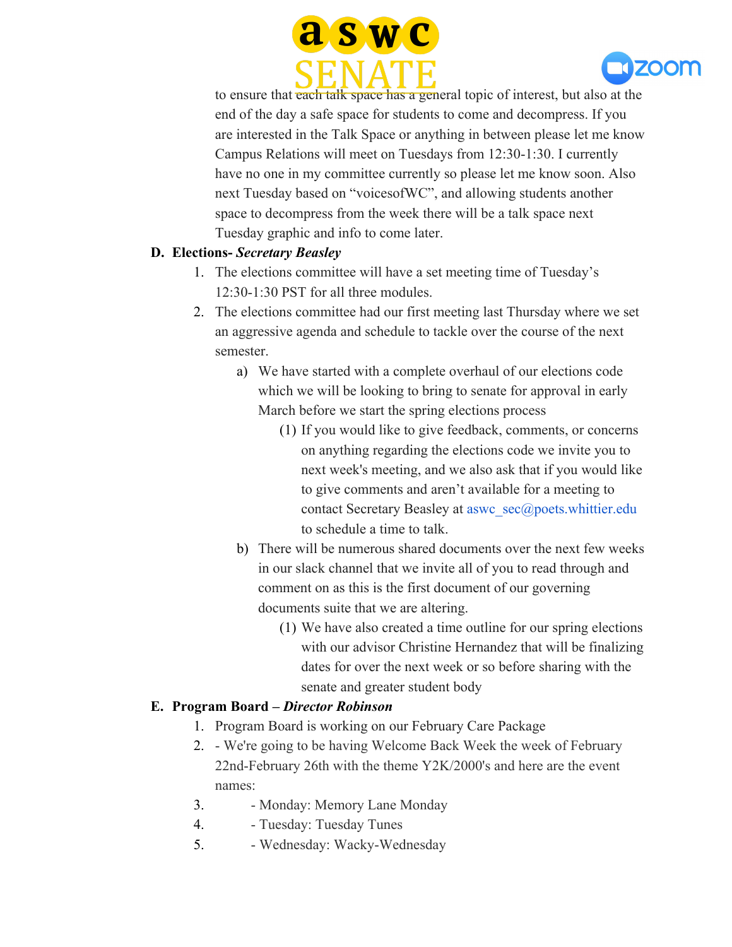



to ensure that each talk space has a general topic of interest, but also at the end of the day a safe space for students to come and decompress. If you are interested in the Talk Space or anything in between please let me know Campus Relations will meet on Tuesdays from 12:30-1:30. I currently have no one in my committee currently so please let me know soon. Also next Tuesday based on "voicesofWC", and allowing students another space to decompress from the week there will be a talk space next Tuesday graphic and info to come later.

# **D. Elections-** *Secretary Beasley*

- 1. The elections committee will have a set meeting time of Tuesday's 12:30-1:30 PST for all three modules.
- 2. The elections committee had our first meeting last Thursday where we set an aggressive agenda and schedule to tackle over the course of the next semester.
	- a) We have started with a complete overhaul of our elections code which we will be looking to bring to senate for approval in early March before we start the spring elections process
		- (1) If you would like to give feedback, comments, or concerns on anything regarding the elections code we invite you to next week's meeting, and we also ask that if you would like to give comments and aren't available for a meeting to contact Secretary Beasley at aswc\_sec@poets.whittier.edu to schedule a time to talk.
	- b) There will be numerous shared documents over the next few weeks in our slack channel that we invite all of you to read through and comment on as this is the first document of our governing documents suite that we are altering.
		- (1) We have also created a time outline for our spring elections with our advisor Christine Hernandez that will be finalizing dates for over the next week or so before sharing with the senate and greater student body

### **E. Program Board –** *Director Robinson*

- 1. Program Board is working on our February Care Package
- 2. We're going to be having Welcome Back Week the week of February 22nd-February 26th with the theme Y2K/2000's and here are the event names:
- 3. Monday: Memory Lane Monday
- 4. Tuesday: Tuesday Tunes
- 5. Wednesday: Wacky-Wednesday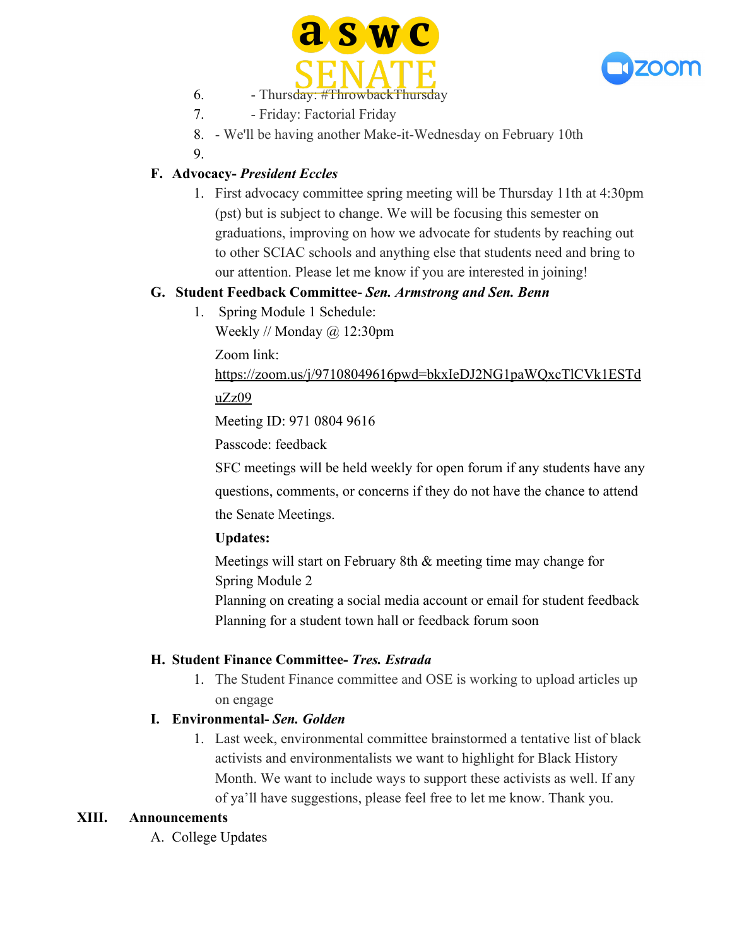



- 6. Thursday: #ThrowbackThursday
- 7. Friday: Factorial Friday
- 8. We'll be having another Make-it-Wednesday on February 10th
- 9.

# **F. Advocacy-** *President Eccles*

1. First advocacy committee spring meeting will be Thursday 11th at 4:30pm (pst) but is subject to change. We will be focusing this semester on graduations, improving on how we advocate for students by reaching out to other SCIAC schools and anything else that students need and bring to our attention. Please let me know if you are interested in joining!

# **G. Student Feedback Committee-** *Sen. Armstrong and Sen. Benn*

1. Spring Module 1 Schedule:

Weekly // Monday @ 12:30pm

Zoom link:

[https://zoom.us/j/97108049616pwd=bkxIeDJ2NG1paWQxcTlCVk1ESTd](https://zoom.us/j/97108049616pwd=bkxIeDJ2NG1paWQxcTlCVk1ESTduZz09)

# [uZz09](https://zoom.us/j/97108049616pwd=bkxIeDJ2NG1paWQxcTlCVk1ESTduZz09)

Meeting ID: 971 0804 9616

Passcode: feedback

SFC meetings will be held weekly for open forum if any students have any

questions, comments, or concerns if they do not have the chance to attend the Senate Meetings.

# **Updates:**

Meetings will start on February 8th & meeting time may change for Spring Module 2

Planning on creating a social media account or email for student feedback Planning for a student town hall or feedback forum soon

# **H. Student Finance Committee-** *Tres. Estrada*

1. The Student Finance committee and OSE is working to upload articles up on engage

# **I. Environmental-** *Sen. Golden*

1. Last week, environmental committee brainstormed a tentative list of black activists and environmentalists we want to highlight for Black History Month. We want to include ways to support these activists as well. If any of ya'll have suggestions, please feel free to let me know. Thank you.

### **XIII. Announcements**

A. College Updates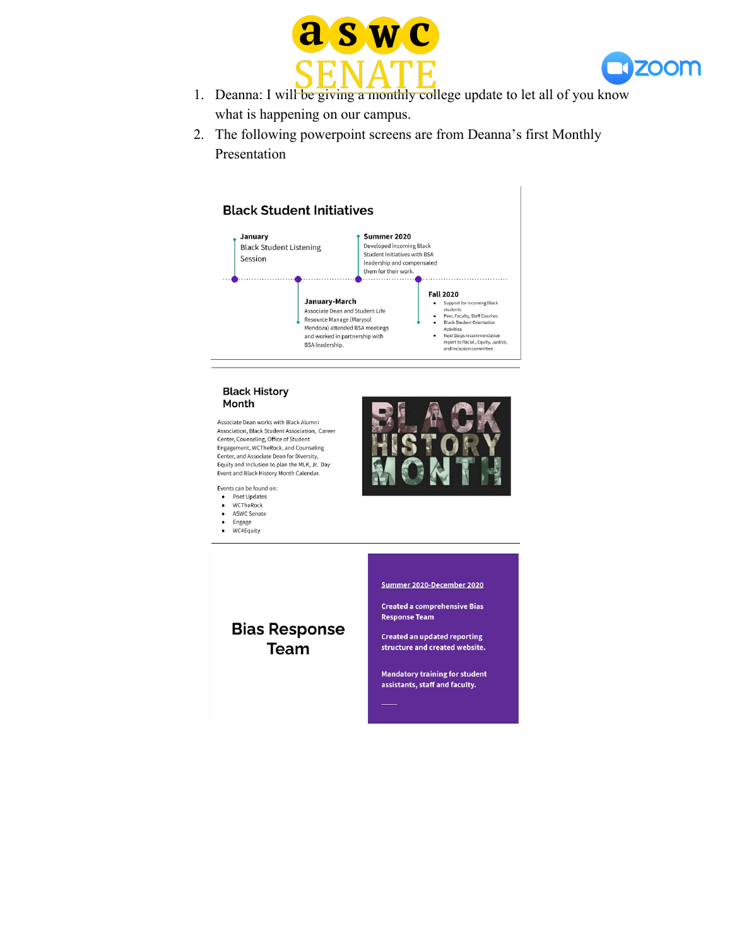



- 1. Deanna: I will be giving a monthly college update to let all of you know what is happening on our campus.
- 2. The following powerpoint screens are from Deanna's first Monthly Presentation

#### **Black Student Initiatives**



#### **Black History** Month

Associate Dean works with Black Alumni<br>Association, Black Student Association, Career Center, Counseling, Office of Student Engagement, WCTheRock, and Counseling Center, and Associate Dean for Diversity, Equity and Inclusion to plan the MLK, Jr. Day Event and Black History Month Calendar.

**Bias Response** 

**Team** 



Events can be found on:

- Poet Updates
- · WCTheRock  $\bullet$ **ASWC Senate**
- Engage  $\bullet$
- WC4Equity

Summer 2020-December 2020

**Created a comprehensive Bias Response Team** 

**Created an updated reporting** structure and created website.

**Mandatory training for student** assistants, staff and faculty.